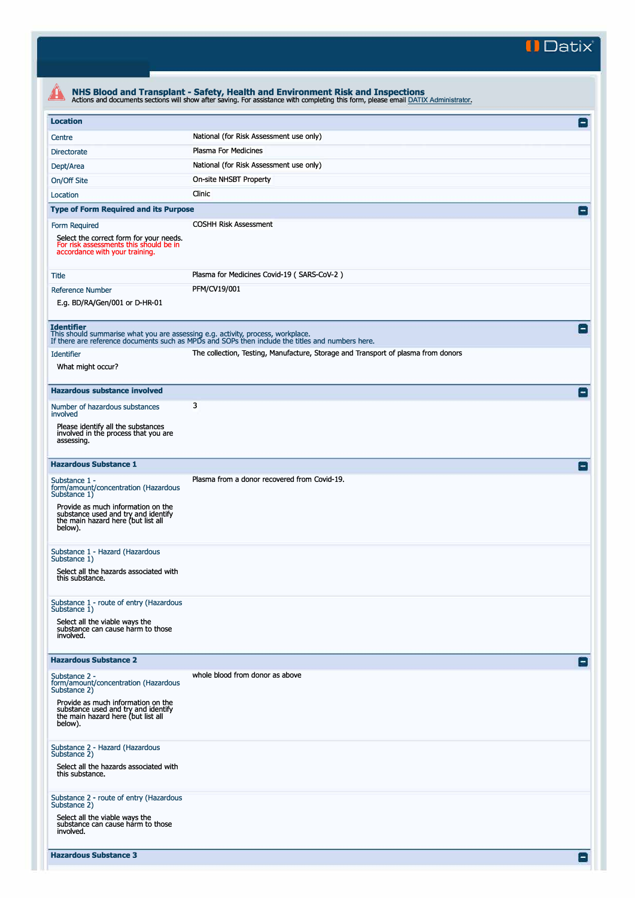**II Datix"** 

| <b>Location</b>                                                                                                     |                                                                                                  | Ξ                       |
|---------------------------------------------------------------------------------------------------------------------|--------------------------------------------------------------------------------------------------|-------------------------|
| Centre                                                                                                              | National (for Risk Assessment use only)                                                          |                         |
| <b>Directorate</b>                                                                                                  | Plasma For Medicines                                                                             |                         |
| Dept/Area                                                                                                           | National (for Risk Assessment use only)                                                          |                         |
| On/Off Site                                                                                                         | On-site NHSBT Property                                                                           |                         |
| Location                                                                                                            | Clinic                                                                                           |                         |
| <b>Type of Form Required and its Purpose</b>                                                                        |                                                                                                  | $\mathsf{I}-\mathsf{I}$ |
| Form Required                                                                                                       | <b>COSHH Risk Assessment</b>                                                                     |                         |
| Select the correct form for your needs.<br>For risk assessments this should be in<br>accordance with your training. |                                                                                                  |                         |
| <b>Title</b>                                                                                                        | Plasma for Medicines Covid-19 (SARS-CoV-2)                                                       |                         |
| Reference Number                                                                                                    | PFM/CV19/001                                                                                     |                         |
| E.g. BD/RA/Gen/001 or D-HR-01                                                                                       |                                                                                                  |                         |
|                                                                                                                     |                                                                                                  |                         |
| <b>Identifier</b><br>This should summarise what you are assessing e.g. activity, process, workplace.                |                                                                                                  | $-1$                    |
|                                                                                                                     | If there are reference documents such as MPDs and SOPs then include the titles and numbers here. |                         |
| <b>Identifier</b>                                                                                                   | The collection, Testing, Manufacture, Storage and Transport of plasma from donors                |                         |
| What might occur?                                                                                                   |                                                                                                  |                         |
| <b>Hazardous substance involved</b>                                                                                 |                                                                                                  | $\mathsf{L}$            |
| Number of hazardous substances                                                                                      | 3                                                                                                |                         |
| involved                                                                                                            |                                                                                                  |                         |
| Please identify all the substances<br>involved in the process that you are                                          |                                                                                                  |                         |
| assessing.                                                                                                          |                                                                                                  |                         |
| <b>Hazardous Substance 1</b>                                                                                        |                                                                                                  |                         |
|                                                                                                                     | Plasma from a donor recovered from Covid-19.                                                     | $ - $                   |
| Substance 1 -<br>form/amount/concentration (Hazardous                                                               |                                                                                                  |                         |
| Substance 1)<br>Provide as much information on the                                                                  |                                                                                                  |                         |
| substance used and try and identify<br>the main hazard here (but list all                                           |                                                                                                  |                         |
| below).                                                                                                             |                                                                                                  |                         |
| Substance 1 - Hazard (Hazardous                                                                                     |                                                                                                  |                         |
| Substance 1)                                                                                                        |                                                                                                  |                         |
| Select all the hazards associated with<br>this substance.                                                           |                                                                                                  |                         |
|                                                                                                                     |                                                                                                  |                         |
| Substance 1 - route of entry (Hazardous<br>Substance 1)                                                             |                                                                                                  |                         |
| Select all the viable ways the                                                                                      |                                                                                                  |                         |
| substance can cause harm to those<br>involved.                                                                      |                                                                                                  |                         |
|                                                                                                                     |                                                                                                  |                         |
| <b>Hazardous Substance 2</b>                                                                                        |                                                                                                  | $ - $                   |
| Substance 2 -<br>form/amount/concentration (Hazardous                                                               | whole blood from donor as above                                                                  |                         |
| Substance 2)                                                                                                        |                                                                                                  |                         |
| Provide as much information on the<br>substance used and try and identify                                           |                                                                                                  |                         |
| the main hazard here (but list all<br>below).                                                                       |                                                                                                  |                         |
|                                                                                                                     |                                                                                                  |                         |
| Substance 2 - Hazard (Hazardous                                                                                     |                                                                                                  |                         |
| Substance 2)<br>Select all the hazards associated with                                                              |                                                                                                  |                         |
| this substance.                                                                                                     |                                                                                                  |                         |
|                                                                                                                     |                                                                                                  |                         |
| Substance 2 - route of entry (Hazardous<br>Substance 2)                                                             |                                                                                                  |                         |
| Select all the viable ways the<br>substance can cause harm to those                                                 |                                                                                                  |                         |
| involved.                                                                                                           |                                                                                                  |                         |
|                                                                                                                     |                                                                                                  |                         |
| <b>Hazardous Substance 3</b>                                                                                        |                                                                                                  | $ - $                   |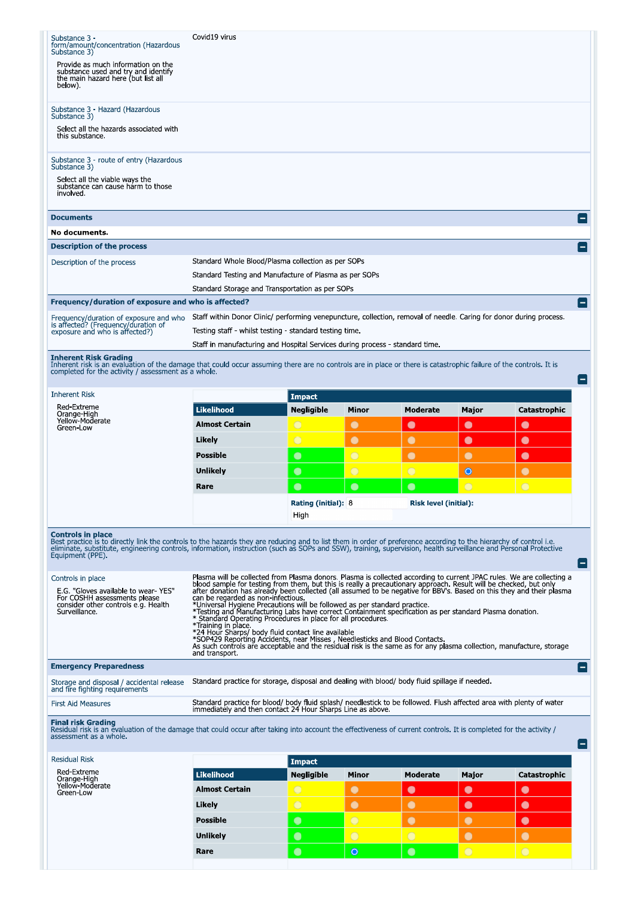| Substance 3 -<br>form/amount/concentration (Hazardous                                                                                                                                                                                                                                                                                                                                  | Covid19 virus                                                                                                                                                                                                                                                                                                                                                                                                                                                                                                                                                                                                                                                                                                                                                                                                                                                                                                                                                       |                                    |                |                       |            |              |  |  |
|----------------------------------------------------------------------------------------------------------------------------------------------------------------------------------------------------------------------------------------------------------------------------------------------------------------------------------------------------------------------------------------|---------------------------------------------------------------------------------------------------------------------------------------------------------------------------------------------------------------------------------------------------------------------------------------------------------------------------------------------------------------------------------------------------------------------------------------------------------------------------------------------------------------------------------------------------------------------------------------------------------------------------------------------------------------------------------------------------------------------------------------------------------------------------------------------------------------------------------------------------------------------------------------------------------------------------------------------------------------------|------------------------------------|----------------|-----------------------|------------|--------------|--|--|
| Substance 3)                                                                                                                                                                                                                                                                                                                                                                           |                                                                                                                                                                                                                                                                                                                                                                                                                                                                                                                                                                                                                                                                                                                                                                                                                                                                                                                                                                     |                                    |                |                       |            |              |  |  |
| Provide as much information on the<br>substance used and try and identify<br>the main hazard here (but list all<br>below).                                                                                                                                                                                                                                                             |                                                                                                                                                                                                                                                                                                                                                                                                                                                                                                                                                                                                                                                                                                                                                                                                                                                                                                                                                                     |                                    |                |                       |            |              |  |  |
| Substance 3 - Hazard (Hazardous<br>Substance 3)                                                                                                                                                                                                                                                                                                                                        |                                                                                                                                                                                                                                                                                                                                                                                                                                                                                                                                                                                                                                                                                                                                                                                                                                                                                                                                                                     |                                    |                |                       |            |              |  |  |
| Select all the hazards associated with<br>this substance.                                                                                                                                                                                                                                                                                                                              |                                                                                                                                                                                                                                                                                                                                                                                                                                                                                                                                                                                                                                                                                                                                                                                                                                                                                                                                                                     |                                    |                |                       |            |              |  |  |
| Substance 3 - route of entry (Hazardous                                                                                                                                                                                                                                                                                                                                                |                                                                                                                                                                                                                                                                                                                                                                                                                                                                                                                                                                                                                                                                                                                                                                                                                                                                                                                                                                     |                                    |                |                       |            |              |  |  |
| Substance 3)<br>Select all the viable ways the<br>substance can cause harm to those                                                                                                                                                                                                                                                                                                    |                                                                                                                                                                                                                                                                                                                                                                                                                                                                                                                                                                                                                                                                                                                                                                                                                                                                                                                                                                     |                                    |                |                       |            |              |  |  |
| involved.                                                                                                                                                                                                                                                                                                                                                                              |                                                                                                                                                                                                                                                                                                                                                                                                                                                                                                                                                                                                                                                                                                                                                                                                                                                                                                                                                                     |                                    |                |                       |            |              |  |  |
| <b>Documents</b>                                                                                                                                                                                                                                                                                                                                                                       |                                                                                                                                                                                                                                                                                                                                                                                                                                                                                                                                                                                                                                                                                                                                                                                                                                                                                                                                                                     |                                    |                |                       |            |              |  |  |
| No documents.                                                                                                                                                                                                                                                                                                                                                                          |                                                                                                                                                                                                                                                                                                                                                                                                                                                                                                                                                                                                                                                                                                                                                                                                                                                                                                                                                                     |                                    |                |                       |            |              |  |  |
| <b>Description of the process</b>                                                                                                                                                                                                                                                                                                                                                      | Standard Whole Blood/Plasma collection as per SOPs                                                                                                                                                                                                                                                                                                                                                                                                                                                                                                                                                                                                                                                                                                                                                                                                                                                                                                                  |                                    |                |                       |            |              |  |  |
| Description of the process                                                                                                                                                                                                                                                                                                                                                             | Standard Testing and Manufacture of Plasma as per SOPs                                                                                                                                                                                                                                                                                                                                                                                                                                                                                                                                                                                                                                                                                                                                                                                                                                                                                                              |                                    |                |                       |            |              |  |  |
|                                                                                                                                                                                                                                                                                                                                                                                        | Standard Storage and Transportation as per SOPs                                                                                                                                                                                                                                                                                                                                                                                                                                                                                                                                                                                                                                                                                                                                                                                                                                                                                                                     |                                    |                |                       |            |              |  |  |
| Frequency/duration of exposure and who is affected?                                                                                                                                                                                                                                                                                                                                    |                                                                                                                                                                                                                                                                                                                                                                                                                                                                                                                                                                                                                                                                                                                                                                                                                                                                                                                                                                     |                                    |                |                       |            |              |  |  |
|                                                                                                                                                                                                                                                                                                                                                                                        | Staff within Donor Clinic/ performing venepuncture, collection, removal of needle. Caring for donor during process.                                                                                                                                                                                                                                                                                                                                                                                                                                                                                                                                                                                                                                                                                                                                                                                                                                                 |                                    |                |                       |            |              |  |  |
| Frequency/duration of exposure and who<br>is affected? (Frequency/duration of                                                                                                                                                                                                                                                                                                          | Testing staff - whilst testing - standard testing time.                                                                                                                                                                                                                                                                                                                                                                                                                                                                                                                                                                                                                                                                                                                                                                                                                                                                                                             |                                    |                |                       |            |              |  |  |
| exposure and who is affected?)                                                                                                                                                                                                                                                                                                                                                         | Staff in manufacturing and Hospital Services during process - standard time.                                                                                                                                                                                                                                                                                                                                                                                                                                                                                                                                                                                                                                                                                                                                                                                                                                                                                        |                                    |                |                       |            |              |  |  |
| <b>Inherent Risk Grading</b>                                                                                                                                                                                                                                                                                                                                                           |                                                                                                                                                                                                                                                                                                                                                                                                                                                                                                                                                                                                                                                                                                                                                                                                                                                                                                                                                                     |                                    |                |                       |            |              |  |  |
| Inherent risk is an evaluation of the damage that could occur assuming there are no controls are in place or there is catastrophic failure of the controls. It is<br>completed for the activity / assessment as a whole.                                                                                                                                                               |                                                                                                                                                                                                                                                                                                                                                                                                                                                                                                                                                                                                                                                                                                                                                                                                                                                                                                                                                                     |                                    |                |                       |            |              |  |  |
| <b>Inherent Risk</b>                                                                                                                                                                                                                                                                                                                                                                   |                                                                                                                                                                                                                                                                                                                                                                                                                                                                                                                                                                                                                                                                                                                                                                                                                                                                                                                                                                     | <b>Impact</b>                      |                |                       |            |              |  |  |
| Red-Extreme<br>Orange-High                                                                                                                                                                                                                                                                                                                                                             | <b>Likelihood</b>                                                                                                                                                                                                                                                                                                                                                                                                                                                                                                                                                                                                                                                                                                                                                                                                                                                                                                                                                   | Negligible                         | Minor          | Moderate              | Major      | Catastrophic |  |  |
| Yellow-Moderate<br>Green-Low                                                                                                                                                                                                                                                                                                                                                           | <b>Almost Certain</b>                                                                                                                                                                                                                                                                                                                                                                                                                                                                                                                                                                                                                                                                                                                                                                                                                                                                                                                                               | $\cup$                             | $\bullet$      | $\bullet$             | $\bullet$  | $\bullet$    |  |  |
|                                                                                                                                                                                                                                                                                                                                                                                        | Likely                                                                                                                                                                                                                                                                                                                                                                                                                                                                                                                                                                                                                                                                                                                                                                                                                                                                                                                                                              | $\circ$                            | $\bullet$      | $\bullet$             | $\bullet$  | $\bullet$    |  |  |
|                                                                                                                                                                                                                                                                                                                                                                                        | <b>Possible</b>                                                                                                                                                                                                                                                                                                                                                                                                                                                                                                                                                                                                                                                                                                                                                                                                                                                                                                                                                     | $\bullet$                          | $\overline{O}$ |                       | $\bullet$  | $\bullet$    |  |  |
|                                                                                                                                                                                                                                                                                                                                                                                        | <b>Unlikely</b>                                                                                                                                                                                                                                                                                                                                                                                                                                                                                                                                                                                                                                                                                                                                                                                                                                                                                                                                                     | $\bullet$                          | $\overline{O}$ | $\bigcirc$            | $\circ$    | $\bullet$    |  |  |
|                                                                                                                                                                                                                                                                                                                                                                                        |                                                                                                                                                                                                                                                                                                                                                                                                                                                                                                                                                                                                                                                                                                                                                                                                                                                                                                                                                                     |                                    |                |                       |            |              |  |  |
|                                                                                                                                                                                                                                                                                                                                                                                        | Rare                                                                                                                                                                                                                                                                                                                                                                                                                                                                                                                                                                                                                                                                                                                                                                                                                                                                                                                                                                | $\bullet$                          | $\bullet$      | $\bullet$             | $\bigcirc$ | $\bigcirc$   |  |  |
|                                                                                                                                                                                                                                                                                                                                                                                        |                                                                                                                                                                                                                                                                                                                                                                                                                                                                                                                                                                                                                                                                                                                                                                                                                                                                                                                                                                     | <b>Rating (initial): 8</b><br>High |                | Risk level (initial): |            |              |  |  |
| <b>Controls in place</b><br>Best practice is to directly link the controls to the hazards they are reducing and to list them in order of preference according to the hierarchy of control i.e.<br>eliminate, substitute, engineering controls, information, instruction (such as SOPs and SSW), training, supervision, health surveillance and Personal Protective<br>Equipment (PPE). |                                                                                                                                                                                                                                                                                                                                                                                                                                                                                                                                                                                                                                                                                                                                                                                                                                                                                                                                                                     |                                    |                |                       |            |              |  |  |
| Controls in place<br>E.G. "Gloves available to wear-YES"<br>For COSHH assessments please<br>consider other controls e.g. Health<br>Surveillance.                                                                                                                                                                                                                                       | Plasma will be collected from Plasma donors. Plasma is collected according to current JPAC rules. We are collecting a<br>blood sample for testing from them, but this is really a precautionary approach. Result will be checked, but only<br>after donation has already been collected (all assumed to be negative for BBV's. Based on this they and their plasma<br>can be regarded as non-infectious.<br>*Universal Hygiene Precautions will be followed as per standard practice.<br>*Testing and Manufacturing Labs have correct Containment specification as per standard Plasma donation.<br>* Standard Operating Procedures in place for all procedures<br>*Training in place<br>*24 Hour Sharps/ body fluid contact line available<br>*SOP429 Reporting Accidents, near Misses, Needlesticks and Blood Contacts.<br>As such controls are acceptable and the residual risk is the same as for any plasma collection, manufacture, storage<br>and transport. |                                    |                |                       |            |              |  |  |
| <b>Emergency Preparedness</b>                                                                                                                                                                                                                                                                                                                                                          |                                                                                                                                                                                                                                                                                                                                                                                                                                                                                                                                                                                                                                                                                                                                                                                                                                                                                                                                                                     |                                    |                |                       |            |              |  |  |
| Storage and disposal / accidental release<br>and fire fighting requirements                                                                                                                                                                                                                                                                                                            | Standard practice for storage, disposal and dealing with blood/ body fluid spillage if needed.                                                                                                                                                                                                                                                                                                                                                                                                                                                                                                                                                                                                                                                                                                                                                                                                                                                                      |                                    |                |                       |            |              |  |  |
| <b>First Aid Measures</b>                                                                                                                                                                                                                                                                                                                                                              | Standard practice for blood/ body fluid splash/ needlestick to be followed. Flush affected area with plenty of water<br>immediately and then contact 24 Hour Sharps Line as above.                                                                                                                                                                                                                                                                                                                                                                                                                                                                                                                                                                                                                                                                                                                                                                                  |                                    |                |                       |            |              |  |  |
| <b>Final risk Grading</b><br>Residual risk is an evaluation of the damage that could occur after taking into account the effectiveness of current controls. It is completed for the activity /<br>assessment as a whole.                                                                                                                                                               |                                                                                                                                                                                                                                                                                                                                                                                                                                                                                                                                                                                                                                                                                                                                                                                                                                                                                                                                                                     |                                    |                |                       |            |              |  |  |
| <b>Residual Risk</b>                                                                                                                                                                                                                                                                                                                                                                   |                                                                                                                                                                                                                                                                                                                                                                                                                                                                                                                                                                                                                                                                                                                                                                                                                                                                                                                                                                     | <b>Impact</b>                      |                |                       |            |              |  |  |
| Red-Extreme                                                                                                                                                                                                                                                                                                                                                                            | <b>Likelihood</b>                                                                                                                                                                                                                                                                                                                                                                                                                                                                                                                                                                                                                                                                                                                                                                                                                                                                                                                                                   | Negligible                         | Minor          | Moderate              | Major      | Catastrophic |  |  |
| Orange High<br>Yellow-Moderate                                                                                                                                                                                                                                                                                                                                                         |                                                                                                                                                                                                                                                                                                                                                                                                                                                                                                                                                                                                                                                                                                                                                                                                                                                                                                                                                                     |                                    |                |                       |            |              |  |  |
| Green-Low                                                                                                                                                                                                                                                                                                                                                                              |                                                                                                                                                                                                                                                                                                                                                                                                                                                                                                                                                                                                                                                                                                                                                                                                                                                                                                                                                                     |                                    |                |                       |            |              |  |  |
|                                                                                                                                                                                                                                                                                                                                                                                        | <b>Almost Certain</b>                                                                                                                                                                                                                                                                                                                                                                                                                                                                                                                                                                                                                                                                                                                                                                                                                                                                                                                                               | $\bigcirc$                         | $\bullet$      | $\bullet$             | $\bullet$  | $\bullet$    |  |  |
|                                                                                                                                                                                                                                                                                                                                                                                        | Likely                                                                                                                                                                                                                                                                                                                                                                                                                                                                                                                                                                                                                                                                                                                                                                                                                                                                                                                                                              | $\bigcirc$                         | $\bullet$      | $\bullet$             | $\bullet$  | $\bullet$    |  |  |
|                                                                                                                                                                                                                                                                                                                                                                                        | <b>Possible</b>                                                                                                                                                                                                                                                                                                                                                                                                                                                                                                                                                                                                                                                                                                                                                                                                                                                                                                                                                     | $\bullet$                          | $\bigcirc$     |                       | $\bullet$  | $\bullet$    |  |  |
|                                                                                                                                                                                                                                                                                                                                                                                        | Unlikely                                                                                                                                                                                                                                                                                                                                                                                                                                                                                                                                                                                                                                                                                                                                                                                                                                                                                                                                                            | $\bullet$                          | $\bigcirc$     | $\bigcirc$            | $\bullet$  | $\bullet$    |  |  |